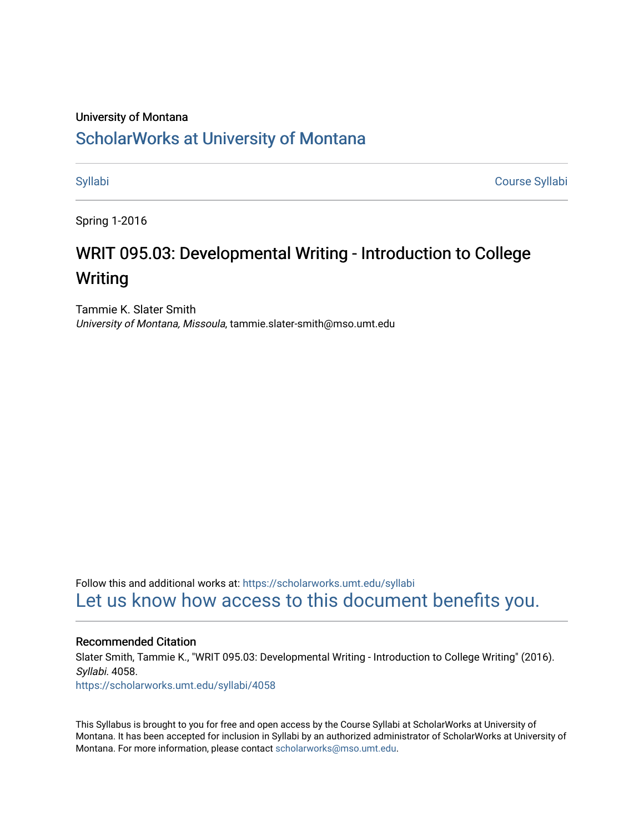### University of Montana

# [ScholarWorks at University of Montana](https://scholarworks.umt.edu/)

[Syllabi](https://scholarworks.umt.edu/syllabi) [Course Syllabi](https://scholarworks.umt.edu/course_syllabi) 

Spring 1-2016

# WRIT 095.03: Developmental Writing - Introduction to College Writing

Tammie K. Slater Smith University of Montana, Missoula, tammie.slater-smith@mso.umt.edu

Follow this and additional works at: [https://scholarworks.umt.edu/syllabi](https://scholarworks.umt.edu/syllabi?utm_source=scholarworks.umt.edu%2Fsyllabi%2F4058&utm_medium=PDF&utm_campaign=PDFCoverPages)  [Let us know how access to this document benefits you.](https://goo.gl/forms/s2rGfXOLzz71qgsB2) 

#### Recommended Citation

Slater Smith, Tammie K., "WRIT 095.03: Developmental Writing - Introduction to College Writing" (2016). Syllabi. 4058.

[https://scholarworks.umt.edu/syllabi/4058](https://scholarworks.umt.edu/syllabi/4058?utm_source=scholarworks.umt.edu%2Fsyllabi%2F4058&utm_medium=PDF&utm_campaign=PDFCoverPages)

This Syllabus is brought to you for free and open access by the Course Syllabi at ScholarWorks at University of Montana. It has been accepted for inclusion in Syllabi by an authorized administrator of ScholarWorks at University of Montana. For more information, please contact [scholarworks@mso.umt.edu.](mailto:scholarworks@mso.umt.edu)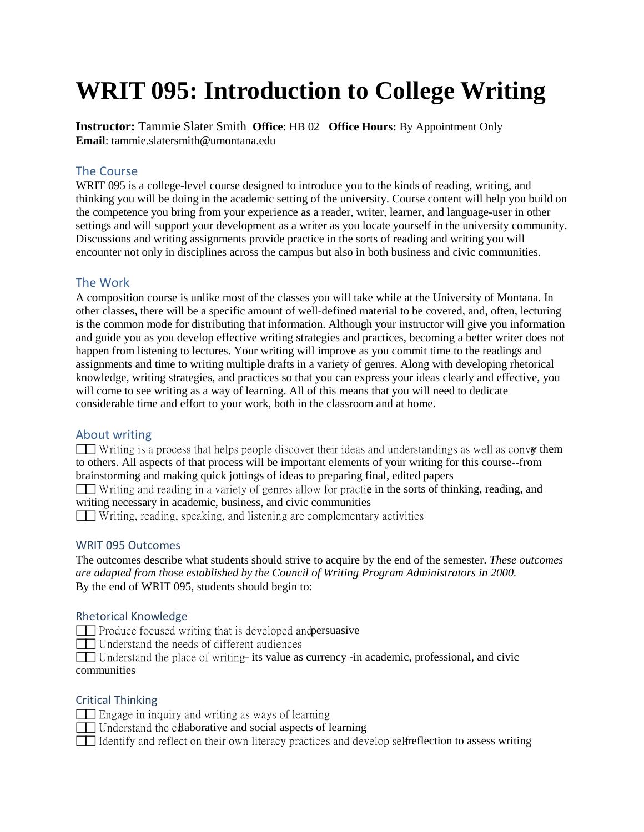# **WRIT 095: Introduction to College Writing**

**Instructor:** Tammie Slater Smith **Office**: HB 02 **Office Hours:** By Appointment Only **Email**: tammie.slatersmith@umontana.ed[u](mailto:mark.medvetz@umontana.edu)

# The Course

WRIT 095 is a college-level course designed to introduce you to the kinds of reading, writing, and thinking you will be doing in the academic setting of the university. Course content will help you build on the competence you bring from your experience as a reader, writer, learner, and language-user in other settings and will support your development as a writer as you locate yourself in the university community. Discussions and writing assignments provide practice in the sorts of reading and writing you will encounter not only in disciplines across the campus but also in both business and civic communities.

# The Work

A composition course is unlike most of the classes you will take while at the University of Montana. In other classes, there will be a specific amount of well-defined material to be covered, and, often, lecturing is the common mode for distributing that information. Although your instructor will give you information and guide you as you develop effective writing strategies and practices, becoming a better writer does not happen from listening to lectures. Your writing will improve as you commit time to the readings and assignments and time to writing multiple drafts in a variety of genres. Along with developing rhetorical knowledge, writing strategies, and practices so that you can express your ideas clearly and effective, you will come to see writing as a way of learning. All of this means that you will need to dedicate considerable time and effort to your work, both in the classroom and at home.

# About writing

Writing is a process that helps people discover their ideas and understandings as well as converted to others. All aspects of that process will be important elements of your writing for this course--from brainstorming and making quick jottings of ideas to preparing final, edited papers

Writing and reading in a variety of genres allow for practic in the sorts of thinking, reading, and writing necessary in academic, business, and civic communities

Writing, reading, speaking, and listening are complementary activities

# WRIT 095 Outcomes

The outcomes describe what students should strive to acquire by the end of the semester. *These outcomes are adapted from those established by the Council of Writing Program Administrators in 2000.* By the end of WRIT 095, students should begin to:

# Rhetorical Knowledge

 $\Box$  Produce focused writing that is developed and persuasive

Understand the needs of different audiences

Understand the place of writing its value as currency -in academic, professional, and civic communities

# Critical Thinking

- **Engage in inquiry and writing as ways of learning**
- $\Box$  Understand the colaborative and social aspects of learning
- $\Box$  Identify and reflect on their own literacy practices and develop selfreflection to assess writing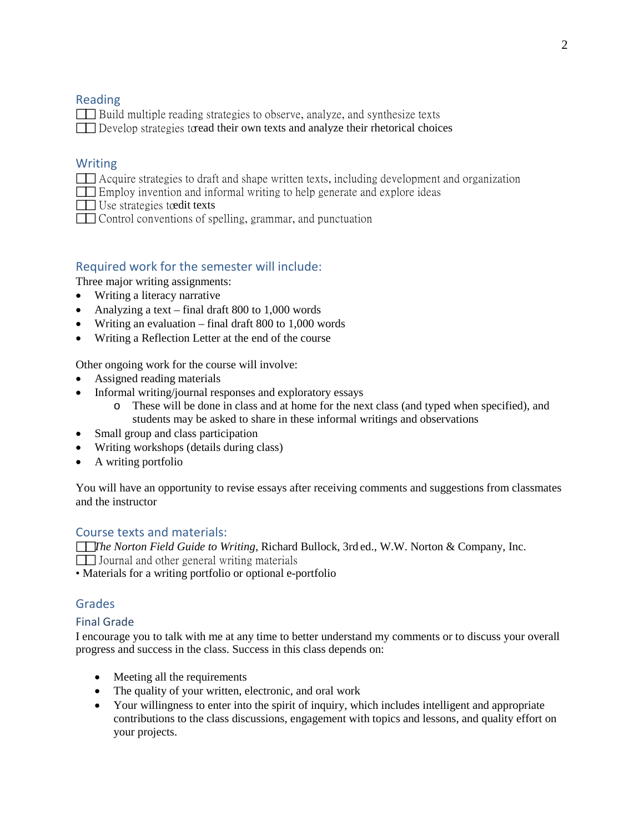# Reading

 Build multiple reading strategies to observe, analyze, and synthesize texts  $\Box$  Develop strategies to read their own texts and analyze their rhetorical choices

# Writing

Acquire strategies to draft and shape written texts, including development and organization

Employ invention and informal writing to help generate and explore ideas

 $\Box$  Use strategies to edit texts

Control conventions of spelling, grammar, and punctuation

# Required work for the semester will include:

Three major writing assignments:

- Writing a literacy narrative
- Analyzing a text final draft 800 to 1,000 words
- Writing an evaluation final draft 800 to 1,000 words
- Writing a Reflection Letter at the end of the course

Other ongoing work for the course will involve:

- Assigned reading materials
- Informal writing/journal responses and exploratory essays
	- o These will be done in class and at home for the next class (and typed when specified), and students may be asked to share in these informal writings and observations
- Small group and class participation
- Writing workshops (details during class)
- A writing portfolio

You will have an opportunity to revise essays after receiving comments and suggestions from classmates and the instructor

# Course texts and materials:

*The Norton Field Guide to Writing*, Richard Bullock, 3rd ed., W.W. Norton & Company, Inc. Journal and other general writing materials

• Materials for a writing portfolio or optional e-portfolio

# Grades

#### Final Grade

I encourage you to talk with me at any time to better understand my comments or to discuss your overall progress and success in the class. Success in this class depends on:

- Meeting all the requirements
- The quality of your written, electronic, and oral work
- Your willingness to enter into the spirit of inquiry, which includes intelligent and appropriate contributions to the class discussions, engagement with topics and lessons, and quality effort on your projects.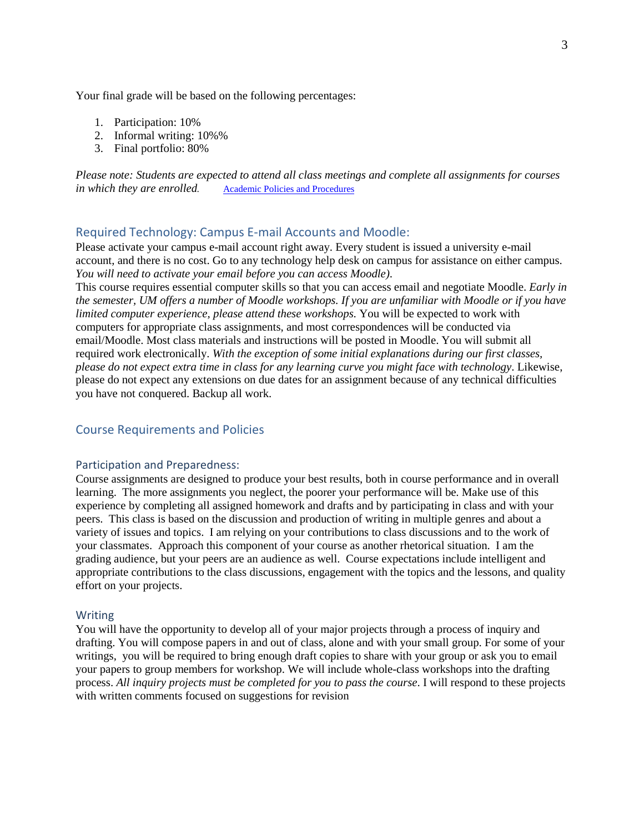Your final grade will be based on the following percentages:

- 1. Participation: 10%
- 2. Informal writing: 10%%
- 3. Final portfolio: 80%

*Please note: Students are expected to attend all class meetings and complete all assignments for courses in which they are enrolled.* [Academic Policies and Procedures](http://www.umt.edu/catalog/academics/academic-policy-procedure.php)

#### Required Technology: Campus E-mail Accounts and Moodle:

Please activate your campus e-mail account right away. Every student is issued a university e-mail account, and there is no cost. Go to any technology help desk on campus for assistance on either campus. *You will need to activate your email before you can access Moodle)*.

This course requires essential computer skills so that you can access email and negotiate Moodle. *Early in the semester, UM offers a number of Moodle workshops. If you are unfamiliar with Moodle or if you have limited computer experience, please attend these workshops.* You will be expected to work with computers for appropriate class assignments, and most correspondences will be conducted via email/Moodle. Most class materials and instructions will be posted in Moodle. You will submit all required work electronically. *With the exception of some initial explanations during our first classes, please do not expect extra time in class for any learning curve you might face with technology*. Likewise, please do not expect any extensions on due dates for an assignment because of any technical difficulties you have not conquered. Backup all work.

#### Course Requirements and Policies

#### Participation and Preparedness:

Course assignments are designed to produce your best results, both in course performance and in overall learning. The more assignments you neglect, the poorer your performance will be. Make use of this experience by completing all assigned homework and drafts and by participating in class and with your peers. This class is based on the discussion and production of writing in multiple genres and about a variety of issues and topics. I am relying on your contributions to class discussions and to the work of your classmates. Approach this component of your course as another rhetorical situation. I am the grading audience, but your peers are an audience as well. Course expectations include intelligent and appropriate contributions to the class discussions, engagement with the topics and the lessons, and quality effort on your projects.

#### Writing

You will have the opportunity to develop all of your major projects through a process of inquiry and drafting. You will compose papers in and out of class, alone and with your small group. For some of your writings, you will be required to bring enough draft copies to share with your group or ask you to email your papers to group members for workshop. We will include whole-class workshops into the drafting process. *All inquiry projects must be completed for you to pass the course*. I will respond to these projects with written comments focused on suggestions for revision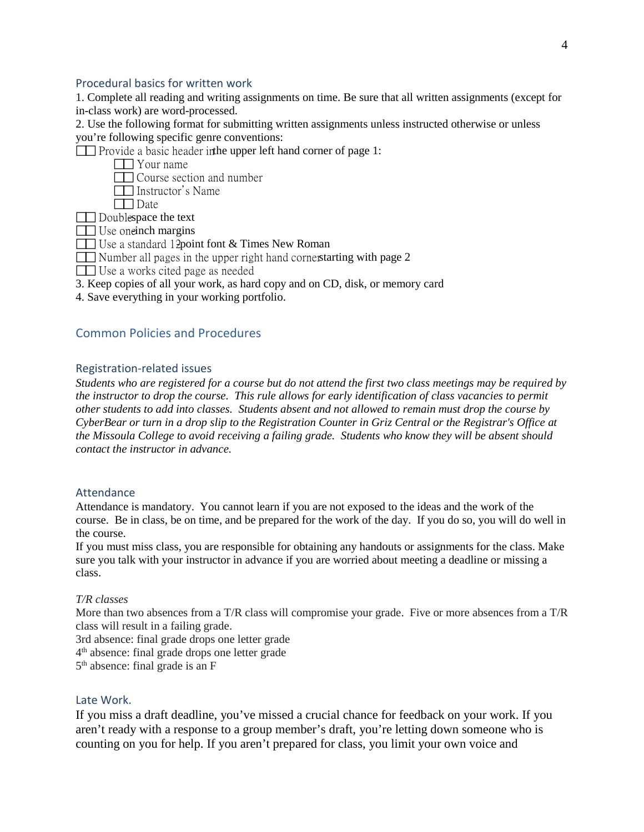#### Procedural basics for written work

1. Complete all reading and writing assignments on time. Be sure that all written assignments (except for in-class work) are word-processed.

2. Use the following format for submitting written assignments unless instructed otherwise or unless you're following specific genre conventions:

Provide a basic header in the upper left hand corner of page 1:

- **TH** Your name
- **T** Course section and number
- **Instructor's Name**
- **Date**
- $\Box$  Doublespace the text
- $\Box$  Use one inch margins
- $\Box$  Use a standard 12 point font & Times New Roman
- $\Box$  Number all pages in the upper right hand cornerstarting with page 2
- Use a works cited page as needed
- 3. Keep copies of all your work, as hard copy and on CD, disk, or memory card
- 4. Save everything in your working portfolio.

# Common Policies and Procedures

#### Registration-related issues

*Students who are registered for a course but do not attend the first two class meetings may be required by the instructor to drop the course. This rule allows for early identification of class vacancies to permit other students to add into classes. Students absent and not allowed to remain must drop the course by CyberBear or turn in a drop slip to the Registration Counter in Griz Central or the Registrar's Office at the Missoula College to avoid receiving a failing grade. Students who know they will be absent should contact the instructor in advance.*

#### Attendance

Attendance is mandatory. You cannot learn if you are not exposed to the ideas and the work of the course. Be in class, be on time, and be prepared for the work of the day. If you do so, you will do well in the course.

If you must miss class, you are responsible for obtaining any handouts or assignments for the class. Make sure you talk with your instructor in advance if you are worried about meeting a deadline or missing a class.

#### *T/R classes*

More than two absences from a T/R class will compromise your grade. Five or more absences from a T/R class will result in a failing grade.

3rd absence: final grade drops one letter grade

4th absence: final grade drops one letter grade

 $5<sup>th</sup>$  absence: final grade is an F

#### Late Work.

If you miss a draft deadline, you've missed a crucial chance for feedback on your work. If you aren't ready with a response to a group member's draft, you're letting down someone who is counting on you for help. If you aren't prepared for class, you limit your own voice and